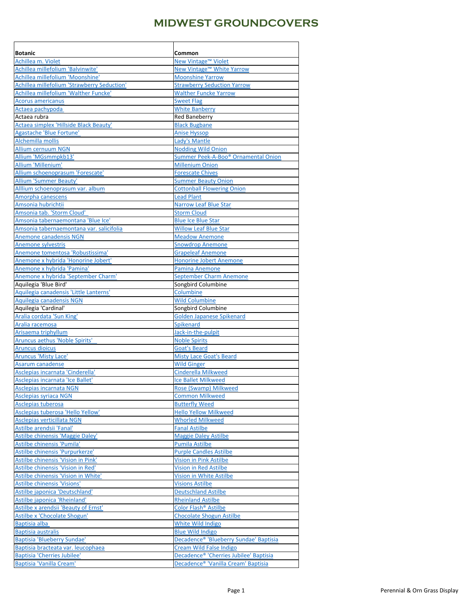| <b>Botanic</b>                                                        | Common                                                                        |
|-----------------------------------------------------------------------|-------------------------------------------------------------------------------|
| Achillea m. Violet                                                    | New Vintage™ Violet                                                           |
| Achillea millefolium 'Balvinwite'<br>Achillea millefolium 'Moonshine' | New Vintage <sup>™</sup> White Yarrow<br><b>Moonshine Yarrow</b>              |
| Achillea millefolium 'Strawberry Seduction'                           | <b>Strawberry Seduction Yarrow</b>                                            |
| Achillea millefolium 'Walther Funcke'                                 | <b>Walther Funcke Yarrow</b>                                                  |
| <b>Acorus americanus</b>                                              | <b>Sweet Flag</b>                                                             |
| Actaea pachypoda                                                      | <b>White Banberry</b>                                                         |
| Actaea rubra                                                          | <b>Red Baneberry</b>                                                          |
| Actaea simplex 'Hillside Black Beauty'                                | <b>Black Bugbane</b>                                                          |
| Agastache 'Blue Fortune'                                              | <b>Anise Hyssop</b>                                                           |
| Alchemilla mollis                                                     | Lady's Mantle                                                                 |
| <b>Allium cernuum NGN</b>                                             | <b>Nodding Wild Onion</b>                                                     |
| Allium 'MGsmmpkb13'                                                   | Summer Peek-A-Boo <sup>®</sup> Ornamental Onion                               |
| Allium 'Millenium'                                                    | <b>Millenium Onion</b>                                                        |
| Allium schoenoprasum 'Forescate'                                      | <b>Forescate Chives</b>                                                       |
| <b>Allium 'Summer Beauty'</b>                                         | <b>Summer Beauty Onion</b>                                                    |
| Alllium schoenoprasum var. album                                      | <b>Cottonball Flowering Onion</b>                                             |
| Amorpha canescens                                                     | <b>Lead Plant</b>                                                             |
| Amsonia hubrichtii                                                    | <b>Narrow Leaf Blue Star</b>                                                  |
| Amsonia tab. 'Storm Cloud'                                            | <b>Storm Cloud</b>                                                            |
| Amsonia tabernaemontana 'Blue Ice'                                    | <b>Blue Ice Blue Star</b>                                                     |
| Amsonia tabernaemontana var. salicifolia                              | <b>Willow Leaf Blue Star</b>                                                  |
| <b>Anemone canadensis NGN</b>                                         | <b>Meadow Anemone</b>                                                         |
| Anemone sylvestris                                                    | <b>Snowdrop Anemone</b>                                                       |
| Anemone tomentosa 'Robustissima'                                      | <b>Grapeleaf Anemone</b>                                                      |
| Anemone x hybrida 'Honorine Jobert'                                   | <b>Honorine Jobert Anemone</b>                                                |
| Anemone x hybrida 'Pamina'                                            | <b>Pamina Anemone</b>                                                         |
| Anemone x hybrida 'September Charm'                                   | September Charm Anemone                                                       |
| Aquilegia 'Blue Bird'                                                 | Songbird Columbine                                                            |
| Aquilegia canadensis 'Little Lanterns'<br>Aquilegia canadensis NGN    | Columbine<br><b>Wild Columbine</b>                                            |
| Aquilegia 'Cardinal'                                                  | Songbird Columbine                                                            |
| Aralia cordata 'Sun King'                                             | Golden Japanese Spikenard                                                     |
| Aralia racemosa                                                       | Spikenard                                                                     |
| Arisaema triphyllum                                                   | Jack-in-the-pulpit                                                            |
| Aruncus aethus 'Noble Spirits'                                        | <b>Noble Spirits</b>                                                          |
| <b>Aruncus dioicus</b>                                                | <b>Goat's Beard</b>                                                           |
| <b>Aruncus 'Misty Lace'</b>                                           | <b>Misty Lace Goat's Beard</b>                                                |
| Asarum canadense                                                      | <b>Wild Ginger</b>                                                            |
| Asclepias incarnata 'Cinderella'                                      | Cinderella Milkweed                                                           |
| Asclepias incarnata 'Ice Ballet'                                      | Ice Ballet Milkweed                                                           |
| Asclepias incarnata NGN                                               | <b>Rose (Swamp) Milkweed</b>                                                  |
| <b>Asclepias syriaca NGN</b>                                          | <b>Common Milkweed</b>                                                        |
| Asclepias tuberosa                                                    | <b>Butterfly Weed</b>                                                         |
| Asclepias tuberosa 'Hello Yellow'                                     | <b>Hello Yellow Milkweed</b>                                                  |
| Asclepias verticillata NGN                                            | <b>Whorled Milkweed</b>                                                       |
| Astilbe arendsii 'Fanal'                                              | <b>Fanal Astilbe</b>                                                          |
| Astilbe chinensis 'Maggie Daley'                                      | <b>Maggie Daley Astilbe</b>                                                   |
| Astilbe chinensis 'Pumila'                                            | <b>Pumila Astilbe</b>                                                         |
| Astilbe chinensis 'Purpurkerze'                                       | <b>Purple Candles Astilbe</b>                                                 |
| Astilbe chinensis 'Vision in Pink'                                    | <b>Vision in Pink Astilbe</b>                                                 |
| Astilbe chinensis 'Vision in Red'                                     | <b>Vision in Red Astilbe</b>                                                  |
| Astilbe chinensis 'Vision in White'                                   | Vision in White Astilbe                                                       |
| Astilbe chinensis 'Visions'                                           | <b>Visions Astilbe</b>                                                        |
| Astilbe japonica 'Deutschland'                                        | <b>Deutschland Astilbe</b>                                                    |
| Astilbe japonica 'Rheinland'                                          | <b>Rheinland Astilbe</b>                                                      |
| Astilbe x arendsii 'Beauty of Ernst'                                  | Color Flash <sup>®</sup> Astilbe                                              |
| Astilbe x 'Chocolate Shogun'                                          | <b>Chocolate Shogun Astilbe</b>                                               |
| <b>Baptisia alba</b>                                                  | <b>White Wild Indigo</b>                                                      |
| <b>Baptisia australis</b><br>Baptisia 'Blueberry Sundae'              | <b>Blue Wild Indigo</b><br>Decadence <sup>®</sup> 'Blueberry Sundae' Baptisia |
| Baptisia bracteata var. leucophaea                                    | Cream Wild False Indigo                                                       |
| <b>Baptisia 'Cherries Jubilee'</b>                                    | Decadence <sup>®</sup> 'Cherries Jubilee' Baptisia                            |
| Baptisia 'Vanilla Cream'                                              | Decadence <sup>®</sup> 'Vanilla Cream' Baptisia                               |
|                                                                       |                                                                               |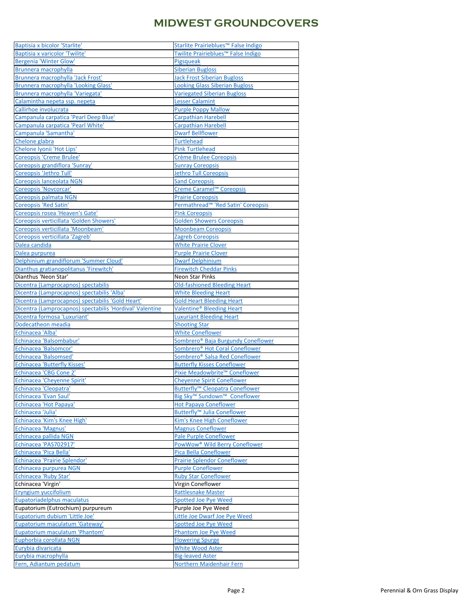| Baptisia x bicolor 'Starlite'                            | Starlite Prairieblues <sup>™</sup> False Indigo      |
|----------------------------------------------------------|------------------------------------------------------|
| Baptisia x varicolor 'Twilite'                           | Twilite Prairieblues <sup>™</sup> False Indigo       |
| <b>Bergenia 'Winter Glow'</b>                            | Pigsqueak                                            |
| Brunnera macrophylla                                     | <b>Siberian Bugloss</b>                              |
| Brunnera macrophylla 'Jack Frost'                        | <b>Jack Frost Siberian Bugloss</b>                   |
| Brunnera macrophylla 'Looking Glass'                     | <b>Looking Glass Siberian Bugloss</b>                |
| Brunnera macrophylla 'Variegata'                         | <b>Variegated Siberian Bugloss</b>                   |
| Calamintha nepeta ssp. nepeta                            | <b>Lesser Calamint</b>                               |
| Callirhoe involucrata                                    | <b>Purple Poppy Mallow</b>                           |
| Campanula carpatica 'Pearl Deep Blue'                    | <b>Carpathian Harebell</b>                           |
| Campanula carpatica 'Pearl White'                        | <b>Carpathian Harebell</b>                           |
| Campanula 'Samantha'                                     | <b>Dwarf Bellflower</b>                              |
| Chelone glabra                                           | <b>Turtlehead</b>                                    |
| Chelone Iyonii 'Hot Lips'                                | <b>Pink Turtlehead</b>                               |
| <b>Coreopsis 'Creme Brulee'</b>                          | Crème Brulee Coreopsis                               |
| Coreopsis grandiflora 'Sunray'                           | <b>Sunray Coreopsis</b>                              |
| Coreopsis 'Jethro Tull'                                  | <b>Jethro Tull Coreopsis</b>                         |
| Coreopsis lanceolata NGN                                 | <b>Sand Coreopsis</b>                                |
| <b>Coreopsis 'Novcorcar'</b>                             | Creme Caramel <sup>™</sup> Coreopsis                 |
| Coreopsis palmata NGN                                    | <b>Prairie Coreopsis</b>                             |
| <b>Coreopsis 'Red Satin'</b>                             | Permathread <sup>™</sup> 'Red Satin' Coreopsis       |
| Coreopsis rosea 'Heaven's Gate'                          | <b>Pink Coreopsis</b>                                |
| Coreopsis verticillata 'Golden Showers'                  | <b>Golden Showers Coreopsis</b>                      |
| Coreopsis verticillata 'Moonbeam'                        | <b>Moonbeam Coreopsis</b>                            |
| Coreopsis verticillata 'Zagreb'                          | Zagreb Coreopsis                                     |
| Dalea candida                                            | <b>White Prairie Clover</b>                          |
| Dalea purpurea                                           | <b>Purple Prairie Clover</b>                         |
| Delphinium grandiflorum 'Summer Cloud'                   | <b>Dwarf Delphinium</b>                              |
| Dianthus gratianopolitanus 'Firewitch'                   | <b>Firewitch Cheddar Pinks</b>                       |
| Dianthus 'Neon Star'                                     | <b>Neon Star Pinks</b>                               |
| Dicentra (Lamprocapnos) spectabilis                      | <b>Old-fashioned Bleeding Heart</b>                  |
| Dicentra (Lamprocapnos) spectabilis 'Alba'               | <b>White Bleeding Heart</b>                          |
| Dicentra (Lamprocapnos) spectabilis 'Gold Heart'         | <b>Gold Heart Bleeding Heart</b>                     |
|                                                          |                                                      |
|                                                          |                                                      |
| Dicentra (Lamprocapnos) spectabilis 'Hordival' Valentine | Valentine <sup>®</sup> Bleeding Heart                |
| Dicentra formosa 'Luxuriant'                             | <b>Luxuriant Bleeding Heart</b>                      |
| Dodecatheon meadia                                       | <b>Shooting Star</b>                                 |
| Echinacea 'Alba'                                         | <b>White Coneflower</b>                              |
| Echinacea 'Balsombabur'                                  | Sombrero <sup>®</sup> Baja Burgundy Coneflower       |
| Echinacea 'Balsomcor'                                    | Sombrero <sup>®</sup> Hot Coral Coneflower           |
| <b>Echinacea 'Balsomsed'</b>                             | Sombrero <sup>®</sup> Salsa Red Coneflower           |
| Echinacea 'Butterfly Kisses'                             | <b>Butterfly Kisses Coneflower</b>                   |
| Echinacea 'CBG Cone 2'                                   | Pixie Meadowbrite <sup>™</sup> Coneflower            |
| Echinacea 'Cheyenne Spirit'                              | <b>Cheyenne Spirit Coneflower</b>                    |
| Echinacea 'Cleopatra'                                    | <b>Butterfly<sup>™</sup> Cleopatra Coneflower</b>    |
| <b>Echinacea 'Evan Saul'</b>                             | Big Sky <sup>™</sup> Sundown <sup>™</sup> Coneflower |
| Echinacea 'Hot Papaya'                                   | <b>Hot Papaya Coneflower</b>                         |
| Echinacea 'Julia'                                        | Butterfly <sup>™</sup> Julia Coneflower              |
| Echinacea 'Kim's Knee High'                              | Kim's Knee High Coneflower                           |
| Echinacea 'Magnus'                                       | <b>Magnus Coneflower</b>                             |
| Echinacea pallida NGN                                    | Pale Purple Coneflower                               |
| Echinacea 'PAS702917'                                    | PowWow <sup>®</sup> Wild Berry Coneflower            |
| <b>Echinacea 'Pica Bella'</b>                            | <b>Pica Bella Coneflower</b>                         |
| Echinacea 'Prairie Splendor'                             | <b>Prairie Splendor Coneflower</b>                   |
| Echinacea purpurea NGN                                   | <b>Purple Coneflower</b>                             |
| Echinacea 'Ruby Star'                                    | <b>Ruby Star Coneflower</b>                          |
| Echinacea 'Virgin'                                       | Virgin Coneflower                                    |
| Eryngium yuccifolium                                     | <b>Rattlesnake Master</b>                            |
| Eupatoriadelphus maculatus                               | <b>Spotted Joe Pye Weed</b>                          |
| Eupatorium (Eutrochium) purpureum                        | Purple Joe Pye Weed                                  |
| Eupatorium dubium 'Little Joe'                           | Little Joe Dwarf Joe Pye Weed                        |
| Eupatorium maculatum 'Gateway'                           | <b>Spotted Joe Pye Weed</b>                          |
| <b>Eupatorium maculatum 'Phantom'</b>                    | <b>Phantom Joe Pye Weed</b>                          |
| Euphorbia corollata NGN                                  | <b>Flowering Spurge</b>                              |
| Eurybia divaricata                                       | <b>White Wood Aster</b>                              |
| Eurybia macrophylla<br>Fern, Adiantum pedatum            | <b>Big-leaved Aster</b><br>Northern Maidenhair Fern  |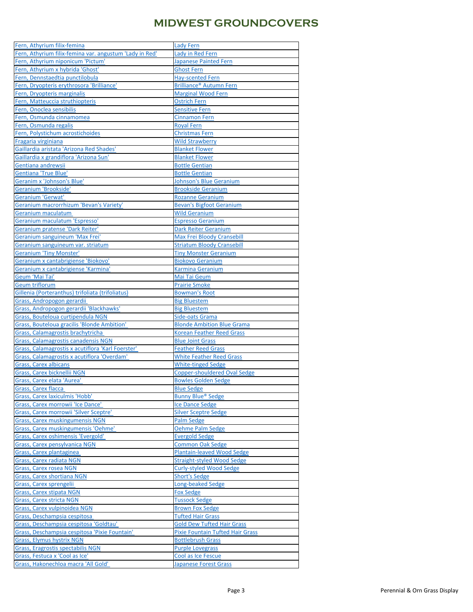| Fern, Athyrium filix-femina                                        | <b>Lady Fern</b>                        |
|--------------------------------------------------------------------|-----------------------------------------|
| Fern, Athyrium filix-femina var. angustum 'Lady in Red'            | Lady in Red Fern                        |
| Fern, Athyrium niponicum 'Pictum'                                  | <b>Japanese Painted Fern</b>            |
| Fern, Athyrium x hybrida 'Ghost'                                   | <b>Ghost Fern</b>                       |
| Fern, Dennstaedtia punctilobula                                    | <b>Hay-scented Fern</b>                 |
| Fern, Dryopteris erythrosora 'Brilliance'                          | Brilliance <sup>®</sup> Autumn Fern     |
| Fern, Dryopteris marginalis                                        | <b>Marginal Wood Fern</b>               |
| Fern, Matteuccia struthiopteris                                    | <b>Ostrich Fern</b>                     |
| Fern, Onoclea sensibilis                                           | Sensitive Fern                          |
| Fern, Osmunda cinnamomea                                           | <b>Cinnamon Fern</b>                    |
| Fern, Osmunda regalis                                              | <b>Royal Fern</b>                       |
| Fern, Polystichum acrostichoides                                   | <b>Christmas Fern</b>                   |
| Fragaria virginiana                                                | <b>Wild Strawberry</b>                  |
| Gaillardia aristata 'Arizona Red Shades'                           | <b>Blanket Flower</b>                   |
| Gaillardia x grandiflora 'Arizona Sun'                             | <b>Blanket Flower</b>                   |
| Gentiana andrewsii                                                 | <b>Bottle Gentian</b>                   |
| <b>Gentiana 'True Blue'</b>                                        | <b>Bottle Gentian</b>                   |
| Geranim x 'Johnson's Blue'                                         | <b>Johnson's Blue Geranium</b>          |
| Geranium 'Brookside'                                               | <b>Brookside Geranium</b>               |
| Geranium 'Gerwat'                                                  | <b>Rozanne Geranium</b>                 |
| Geranium macrorrhizum 'Bevan's Variety'                            | <b>Bevan's Bigfoot Geranium</b>         |
| Geranium maculatum                                                 | <b>Wild Geranium</b>                    |
| Geranium maculatum 'Espresso'                                      | <b>Espresso Geranium</b>                |
| Geranium pratense 'Dark Reiter'                                    | <b>Dark Reiter Geranium</b>             |
| Geranium sanguineum 'Max Frei'                                     | Max Frei Bloody Cransebill              |
| Geranium sanguineum var. striatum                                  | <b>Striatum Bloody Cransebill</b>       |
| <b>Geranium 'Tiny Monster'</b>                                     | <b>Tiny Monster Geranium</b>            |
| Geranium x cantabrigiense 'Biokovo'                                | <b>Biokovo Geranium</b>                 |
| Geranium x cantabrigiense 'Karmina'                                | Karmina Geranium                        |
| Geum 'Mai Tai'                                                     | Mai Tai Geum                            |
| <b>Geum triflorum</b>                                              | <b>Prairie Smoke</b>                    |
| Gillenia (Porteranthus) trifoliata (trifoliatus)                   | <b>Bowman's Root</b>                    |
| Grass, Andropogon gerardii                                         | <b>Big Bluestem</b>                     |
| Grass, Andropogon gerardii 'Blackhawks'                            | <b>Big Bluestem</b>                     |
| Grass, Bouteloua curtipendula NGN                                  | Side-oats Grama                         |
| Grass, Bouteloua gracilis 'Blonde Ambition'                        | <b>Blonde Ambition Blue Grama</b>       |
| Grass, Calamagrostis brachytricha                                  | Korean Feather Reed Grass               |
| Grass, Calamagrostis canadensis NGN                                | <b>Blue Joint Grass</b>                 |
| Grass, Calamagrostis x acutiflora 'Karl Foerster'                  | <b>Feather Reed Grass</b>               |
| Grass, Calamagrostis x acutiflora 'Overdam'                        | White Feather Reed Grass                |
| <b>Grass, Carex albicans</b>                                       | <b>White-tinged Sedge</b>               |
| <b>Grass, Carex bicknellii NGN</b>                                 | <b>Copper-shouldered Oval Sedge</b>     |
| Grass, Carex elata 'Aurea'                                         | <b>Bowles Golden Sedge</b>              |
| <b>Grass, Carex flacca</b>                                         | <b>Blue Sedge</b>                       |
| Grass, Carex laxiculmis 'Hobb'                                     | <b>Bunny Blue® Sedge</b>                |
| Grass, Carex morrowii 'Ice Dance'                                  | Ice Dance Sedge                         |
| Grass, Carex morrowii 'Silver Sceptre'                             | <b>Silver Sceptre Sedge</b>             |
| <b>Grass, Carex muskingumensis NGN</b>                             | Palm Sedge                              |
| Grass, Carex muskingumensis 'Oehme'                                | Oehme Palm Sedge                        |
| <b>Grass, Carex oshimensis 'Evergold'</b>                          | <b>Evergold Sedge</b>                   |
| <b>Grass, Carex pensylvanica NGN</b>                               | <b>Common Oak Sedge</b>                 |
|                                                                    | <b>Plantain-leaved Wood Sedge</b>       |
| Grass, Carex plantaginea<br>Grass, Carex radiata NGN               | <b>Straight-styled Wood Sedge</b>       |
|                                                                    | Curly-styled Wood Sedge                 |
| <b>Grass, Carex rosea NGN</b><br><b>Grass, Carex shortiana NGN</b> | <b>Short's Sedge</b>                    |
|                                                                    | Long-beaked Sedge                       |
| Grass, Carex sprengelii<br><b>Grass, Carex stipata NGN</b>         | Fox Sedge                               |
|                                                                    | <b>Tussock Sedge</b>                    |
| <b>Grass, Carex stricta NGN</b>                                    |                                         |
| Grass, Carex vulpinoidea NGN                                       | <b>Brown Fox Sedge</b>                  |
| Grass, Deschampsia cespitosa                                       | <b>Tufted Hair Grass</b>                |
| Grass, Deschampsia cespitosa 'Goldtau'                             | <b>Gold Dew Tufted Hair Grass</b>       |
| Grass, Deschampsia cespitosa 'Pixie Fountain'                      | <b>Pixie Fountain Tufted Hair Grass</b> |
| Grass, Elymus hystrix NGN                                          | <b>Bottlebrush Grass</b>                |
| <b>Grass, Eragrostis spectabilis NGN</b>                           | <b>Purple Lovegrass</b>                 |
| Grass, Festuca x 'Cool as Ice'                                     | Cool as Ice Fescue                      |
| Grass, Hakonechloa macra 'All Gold'                                | Japanese Forest Grass                   |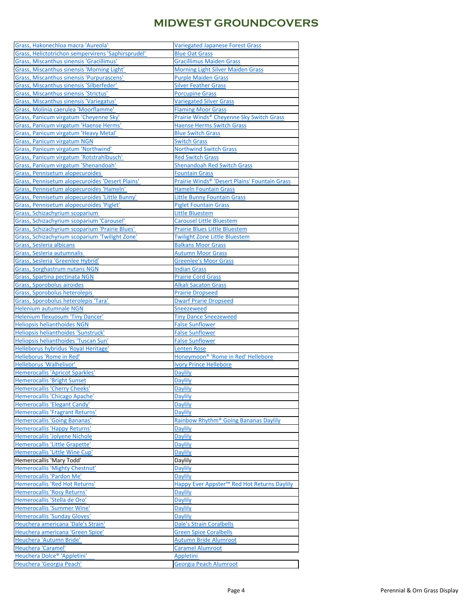| Grass, Hakonechloa macra 'Aureola'                     | <b>Variegated Japanese Forest Grass</b>                   |
|--------------------------------------------------------|-----------------------------------------------------------|
| Grass, Helictotrichon sempervirens 'Saphirsprudel'     | <b>Blue Oat Grass</b>                                     |
| Grass, Miscanthus sinensis 'Gracillimus'               | <b>Gracillimus Maiden Grass</b>                           |
| Grass, Miscanthus sinensis 'Morning Light'             | <b>Morning Light Silver Maiden Grass</b>                  |
| Grass, Miscanthus sinensis 'Purpurascens'              | <b>Purple Maiden Grass</b>                                |
| Grass, Miscanthus sinensis 'Silberfeder'               | <b>Silver Feather Grass</b>                               |
| Grass, Miscanthus sinensis 'Strictus'                  | <b>Porcupine Grass</b>                                    |
| Grass, Miscanthus sinensis 'Variegatus'                | <b>Variegated Silver Grass</b>                            |
| Grass, Molinia caerulea 'Moorflamme'                   | <b>Flaming Moor Grass</b>                                 |
| Grass, Panicum virgatum 'Cheyenne Sky'                 | Prairie Winds® Cheyenne Sky Switch Grass                  |
| Grass, Panicum virgatum 'Haense Herms'                 | <b>Haense Herms Switch Grass</b>                          |
| Grass, Panicum virgatum 'Heavy Metal'                  | <b>Blue Switch Grass</b>                                  |
| <b>Grass, Panicum virgatum NGN</b>                     | <b>Switch Grass</b>                                       |
| Grass, Panicum virgatum 'Northwind'                    | <b>Northwind Switch Grass</b>                             |
| Grass, Panicum virgatum 'Rotstrahlbusch'               | <b>Red Switch Grass</b>                                   |
| Grass, Panicum virgatum 'Shenandoah'                   | <b>Shenandoah Red Switch Grass</b>                        |
| <b>Grass, Pennisetum alopecuroides</b>                 | <b>Fountain Grass</b>                                     |
| <b>Grass, Pennisetum alopecuroides 'Desert Plains'</b> | Prairie Winds <sup>®</sup> 'Desert Plains' Fountain Grass |
| Grass, Pennisetum alopecuroides 'Hameln'               | <b>Hameln Fountain Grass</b>                              |
| Grass, Pennisetum alopecuroides 'Little Bunny'         | <b>Little Bunny Fountain Grass</b>                        |
| Grass, Pennisetum alopecuroides 'Piglet'               | <b>Piglet Fountain Grass</b>                              |
| Grass, Schizachyrium scoparium                         | <b>Little Bluestem</b>                                    |
| Grass, Schizachyrium scoparium 'Carousel'              | <b>Carousel Little Bluestem</b>                           |
| <b>Grass, Schizachyrium scoparium 'Prairie Blues'</b>  | Prairie Blues Little Bluestem                             |
| Grass, Schizachyrium scoparium 'Twilight Zone'         | <b>Twilight Zone Little Bluestem</b>                      |
| Grass, Sesleria albicans                               | <b>Balkans Moor Grass</b>                                 |
| Grass, Sesleria autumnalis                             | <b>Autumn Moor Grass</b>                                  |
| Grass, Sesleria 'Greenlee Hybrid'                      | <b>Greenlee's Moor Grass</b>                              |
| Grass, Sorghastrum nutans NGN                          | <b>Indian Grass</b>                                       |
| <b>Grass, Spartina pectinata NGN</b>                   | <b>Prairie Cord Grass</b>                                 |
| Grass, Sporobolus airoides                             | <b>Alkali Sacaton Grass</b>                               |
| Grass, Sporobolus heterolepis                          | <b>Prairie Dropseed</b>                                   |
| Grass, Sporobolus heterolepis 'Tara'                   | <b>Dwarf Prarie Dropseed</b>                              |
| <b>Helenium autumnale NGN</b>                          | Sneezeweed                                                |
| Helenium flexuosum 'Tiny Dancer'                       | <b>Tiny Dance Sneezeweed</b>                              |
| <b>Heliopsis helianthoides NGN</b>                     | <b>False Sunflower</b>                                    |
| Heliopsis helianthoides 'Sunstruck'                    | <b>False Sunflower</b>                                    |
| Heliopsis helianthoides 'Tuscan Sun'                   | <b>False Sunflower</b>                                    |
| Helleborus hybridus 'Royal Heritage'                   | <b>Lenten Rose</b>                                        |
| Helleborus 'Rome in Red'                               |                                                           |
|                                                        | Honeymoon <sup>®</sup> 'Rome in Red' Hellebore            |
| Helleborus 'Walhelivor'                                | <b>Ivory Prince Hellebore</b>                             |
| <b>Hemerocallis 'Apricot Sparkles'</b>                 | <b>Daylily</b>                                            |
| <b>Hemerocallis 'Bright Sunset</b>                     | <b>Daylily</b>                                            |
| <b>Hemerocallis 'Cherry Cheeks'</b>                    | <b>Daylily</b>                                            |
| Hemerocallis 'Chicago Apache'                          | <b>Daylily</b>                                            |
| Hemerocallis 'Elegant Candy'                           | <b>Daylily</b>                                            |
| Hemerocallis 'Fragrant Returns'                        | <b>Daylily</b>                                            |
| <b>Hemerocallis 'Going Bananas'</b>                    | Rainbow Rhythm <sup>®</sup> Going Bananas Daylily         |
| <b>Hemerocallis 'Happy Returns'</b>                    | <b>Daylily</b>                                            |
| Hemerocallis 'Jolyene Nichole                          | <b>Daylily</b>                                            |
| Hemerocallis 'Little Grapette'                         | <b>Daylily</b>                                            |
| Hemerocallis 'Little Wine Cup'                         | <b>Daylily</b>                                            |
| Hemerocallis 'Mary Todd'                               | Daylily                                                   |
| Hemerocallis 'Mighty Chestnut'                         | <b>Daylily</b>                                            |
| Hemerocallis 'Pardon Me'                               | <b>Daylily</b>                                            |
| Hemerocallis 'Red Hot Returns'                         | Happy Ever Appster <sup>™</sup> Red Hot Returns Daylily   |
| Hemerocallis 'Rosy Returns'                            | <b>Daylily</b>                                            |
| Hemerocallis 'Stella de Oro'                           | <b>Daylily</b>                                            |
| Hemerocallis 'Summer Wine'                             | <b>Daylily</b>                                            |
| Hemerocallis 'Sunday Gloves'                           | <b>Daylily</b>                                            |
| Heuchera americana 'Dale's Strain'                     | <b>Dale's Strain Coralbells</b>                           |
| Heuchera americana 'Green Spice'                       | <b>Green Spice Coralbells</b>                             |
| Heuchera 'Autumn Bride'                                | <b>Autumn Bride Alumroot</b>                              |
| Heuchera 'Caramel'                                     | <b>Caramel Alumroot</b>                                   |
| Heuchera Dolce <sup>®</sup> 'Appletini'                | Appletini                                                 |
| Heuchera 'Georgia Peach'                               | Georgia Peach Alumroot                                    |
|                                                        |                                                           |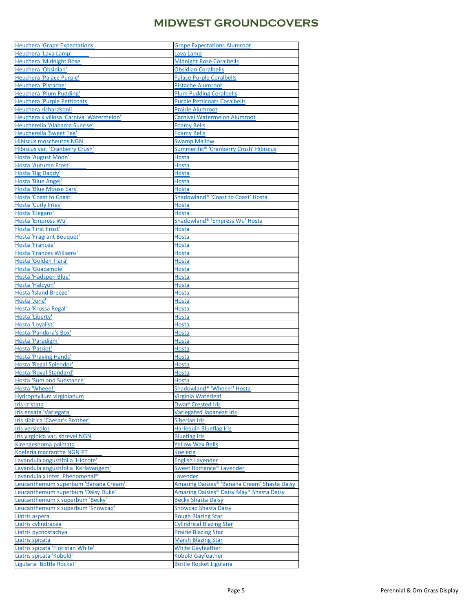| <b>Heuchera 'Grape Expectations'</b>       | <b>Grape Expectations Alumroot</b>                       |
|--------------------------------------------|----------------------------------------------------------|
| Heuchera 'Lava Lamp'                       | Lava Lamp                                                |
| Heuchera 'Midnight Rose'                   | <b>Midnight Rose Coralbells</b>                          |
| Heuchera 'Obsidian'                        | <b>Obsidian Coralbells</b>                               |
|                                            |                                                          |
| Heuchera 'Palace Purple'                   | <b>Palace Purple Coralbells</b>                          |
| Heuchera 'Pistache'                        | <b>Pistache Alumroot</b>                                 |
| <b>Heuchera 'Plum Pudding'</b>             | <b>Plum Pudding Coralbells</b>                           |
| Heuchera 'Purple Petticoats'               | <b>Purple Petticoats Coralbells</b>                      |
| Heuchera richardsonii                      | <b>Prairie Alumroot</b>                                  |
| Heuchera x villosa 'Carnival Watermelon'   | <b>Carnival Watermelon Alumroot</b>                      |
| Heucherella 'Alabama Sunrise'              | <b>Foamy Bells</b>                                       |
| Heucherella 'Sweet Tea'                    | <b>Foamy Bells</b>                                       |
| <b>Hibiscus moscheutos NGN</b>             | <b>Swamp Mallow</b>                                      |
|                                            |                                                          |
| <b>Hibiscus var. 'Cranberry Crush'</b>     | Summerific <sup>®</sup> 'Cranberry Crush' Hibiscus       |
| Hosta 'August Moon'                        | <b>Hosta</b>                                             |
| Hosta 'Autumn Frost'                       | <b>Hosta</b>                                             |
| Hosta 'Big Daddy'                          | <b>Hosta</b>                                             |
| Hosta 'Blue Angel'                         | <b>Hosta</b>                                             |
| Hosta 'Blue Mouse Ears'                    | <b>Hosta</b>                                             |
| <b>Hosta 'Coast to Coast'</b>              | Shadowland® 'Coast to Coast' Hosta                       |
| <b>Hosta 'Curly Fries'</b>                 | <b>Hosta</b>                                             |
|                                            |                                                          |
| Hosta 'Elegans'                            | <b>Hosta</b>                                             |
| Hosta 'Empress Wu'                         | Shadowland® 'Empress Wu' Hosta                           |
| Hosta 'First Frost'                        | <b>Hosta</b>                                             |
| <b>Hosta 'Fragrant Bouquet'</b>            | <b>Hosta</b>                                             |
| Hosta 'Francee'                            | <b>Hosta</b>                                             |
| Hosta 'Frances Williams'                   | <b>Hosta</b>                                             |
| Hosta 'Golden Tiara'                       | <b>Hosta</b>                                             |
| Hosta 'Guacamole'                          | <b>Hosta</b>                                             |
| Hosta 'Hadspen Blue'                       | <b>Hosta</b>                                             |
|                                            | <b>Hosta</b>                                             |
| Hosta 'Halcyon'                            |                                                          |
| <b>Hosta 'Island Breeze'</b>               | <b>Hosta</b>                                             |
| Hosta 'June'                               | <b>Hosta</b>                                             |
| Hosta 'Krossa Regal'                       | <b>Hosta</b>                                             |
| Hosta 'Liberty'                            | <b>Hosta</b>                                             |
| Hosta 'Loyalist'                           | <b>Hosta</b>                                             |
| Hosta 'Pandora's Box'                      | <b>Hosta</b>                                             |
| Hosta 'Paradigm'                           | <b>Hosta</b>                                             |
| Hosta 'Patriot'                            | <b>Hosta</b>                                             |
| <b>Hosta 'Praying Hands'</b>               | <b>Hosta</b>                                             |
| Hosta 'Regal Splendor'                     | <b>Hosta</b>                                             |
|                                            |                                                          |
| <b>Hosta 'Royal Standard'</b>              | <b>Hosta</b>                                             |
| <b>Hosta 'Sum and Substance'</b>           | <b>Hosta</b>                                             |
| Hosta 'Wheee!'                             | Shadowland® 'Wheee!' Hosta                               |
| Hydrophyllum virginianum                   | Virginia Waterleaf                                       |
| Iris cristata                              | <b>Dwarf Crested Iris</b>                                |
| Iris ensata 'Variegata'                    | <b>Variegated Japanese Iris</b>                          |
| Iris sibirica 'Caesar's Brother'           | <b>Siberian Iris</b>                                     |
| <b>Iris versicolor</b>                     | Harlequin Blueflag Iris                                  |
| Iris virginica var. shrevei NGN            | <b>Blueflag Iris</b>                                     |
|                                            |                                                          |
| Kirengeshoma palmata                       | <b>Yellow Wax Bells</b>                                  |
| Koeleria macrantha NGN PT                  | <b>Koeleria</b>                                          |
| Lavandula angustifolia 'Hidcote'           | <b>English Lavender</b>                                  |
| Lavandula angustifolia 'Kerlavangem'       | Sweet Romance <sup>®</sup> Lavender                      |
| Lavandula x inter. Phenomenal <sup>®</sup> | Lavender                                                 |
| Leucanthemum superbum 'Banana Cream'       | Amazing Daisies <sup>®</sup> 'Banana Cream' Shasta Daisy |
| Leucanthemum superbum 'Daisy Duke'         | Amazing Daisies® Daisy May® Shasta Daisy                 |
| Leucanthemum x superbum 'Becky'            | <b>Becky Shasta Daisy</b>                                |
| Leucanthemum x superbum 'Snowcap'          | <b>Snowcap Shasta Daisy</b>                              |
| Liatris aspera                             | Rough Blazing Star                                       |
|                                            |                                                          |
| Liatris cylindracea                        | <b>Cylindrical Blazing Star</b>                          |
| Liatris pycnostachya                       | <b>Prairie Blazing Star</b>                              |
| Liatris spicata                            | <b>Marsh Blazing Star</b>                                |
| Liatris spicata 'Floristan White'          | <b>White Gayfeather</b>                                  |
| Liatris spicata 'Kobold'                   | <b>Kobold Gayfeather</b>                                 |
|                                            | <b>Bottle Rocket Ligularia</b>                           |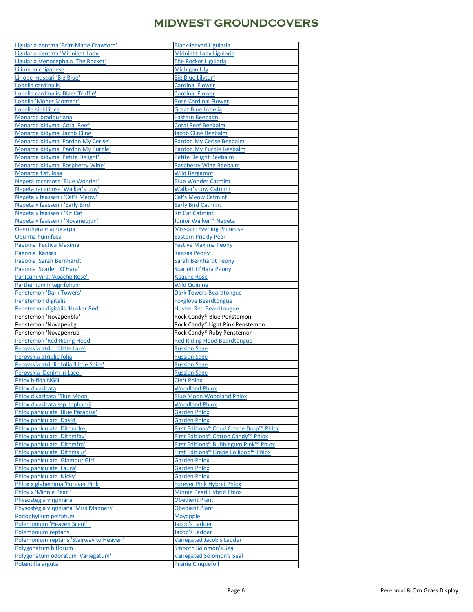| Ligularia dentata 'Britt-Marie Crawford'               | <b>Black-leaved Ligularia</b>                                   |
|--------------------------------------------------------|-----------------------------------------------------------------|
| Ligularia dentata 'Midnight Lady'                      | Midnight Lady Ligularia                                         |
| Ligularia stenocephala 'The Rocket'                    | The Rocket Ligularia                                            |
| Lilium michiganese                                     | <b>Michigan Lily</b>                                            |
| Liriope muscari 'Big Blue'                             | <b>Big Blue Lilyturf</b>                                        |
| Lobelia cardinalis                                     | <b>Cardinal Flower</b>                                          |
| obelia cardinalis 'Black Truffle'                      | <b>Cardinal Flower</b>                                          |
| Lobelia 'Monet Moment'                                 | <b>Rose Cardinal Flower</b>                                     |
| Lobelia siphilitica                                    | <b>Great Blue Lobelia</b>                                       |
| Monarda bradburiana                                    | <b>Eastern Beebalm</b>                                          |
| Monarda didyma 'Coral Reef'                            | <b>Coral Reef Beebalm</b>                                       |
| Monarda didyma 'Jacob Cline'                           | <b>Jacob Cline Beebalm</b>                                      |
| Monarda didyma 'Pardon My Cerise'                      | <b>Pardon My Cerise Beebalm</b>                                 |
| Monarda didyma 'Pardon My Purple'                      | Pardon My Purple Beebalm                                        |
| Monarda didyma 'Petite Delight'                        | <b>Petite Delight Beebalm</b>                                   |
| Monarda didyma 'Raspberry Wine'                        | <b>Raspberry Wine Beebalm</b>                                   |
| Monarda fistulosa                                      | <b>Wild Bergamot</b>                                            |
| Nepeta racemosa 'Blue Wonder'                          | <b>Blue Wonder Catmint</b>                                      |
| Nepeta racemosa 'Walker's Low'                         | <b>Walker's Low Catmint</b>                                     |
| Nepeta x faassenii 'Cat's Meow'                        | <b>Cat's Meow Catmint</b>                                       |
| Nepeta x faassenii 'Early Bird'                        | <b>Early Bird Catmint</b>                                       |
| Nepeta x faassenii 'Kit Cat'                           | <b>Kit Cat Catmint</b>                                          |
| Nepeta x faassenii 'Novanepjun'                        | Junior Walker <sup>™</sup> Nepeta                               |
| Oenothera macrocarpa                                   | <b>Missouri Evening Primrose</b>                                |
| Opuntia humifusa                                       | <b>Eastern Prickly Pear</b>                                     |
| Paeonia 'Festiva Maxima'                               | <b>Festiva Maxima Peony</b>                                     |
| Paeonia 'Kansas'                                       | <b>Kansas Peony</b>                                             |
| Paeonia 'Sarah Bernhardt'                              | <b>Sarah Bernhardt Peony</b>                                    |
| Paeonia 'Scarlett O'Hara'                              | <b>Scarlett O'Hara Peony</b>                                    |
| Panicum virg. 'Apache Rose'                            | <b>Apache Rose</b>                                              |
| Parthenium integrifolium                               | <b>Wild Quinine</b>                                             |
| <b>Penstemon 'Dark Towers'</b>                         | <b>Dark Towers Beardtongue</b>                                  |
|                                                        |                                                                 |
|                                                        |                                                                 |
| Penstemon digitalis                                    | <b>Foxglove Beardtongue</b>                                     |
| Penstemon digitalis 'Husker Red'                       | <b>Husker Red Beardtongue</b>                                   |
| Penstemon 'Novapenblu'                                 | Rock Candy® Blue Penstemon                                      |
| Penstemon 'Novapenlig'                                 | Rock Candy® Light Pink Penstemon                                |
| Penstemon 'Novapenrub'                                 | Rock Candy® Ruby Penstemon                                      |
| Penstemon 'Red Riding Hood'                            | <b>Red Riding Hood Beardtongue</b>                              |
| Perovskia atrip. 'Little Lace'                         | <b>Russian Sage</b>                                             |
| Perovskia atriplicifolia                               | <b>Russian Sage</b>                                             |
| Perovskia atriplicifolia 'Little Spire'                | <b>Russian Sage</b>                                             |
| Perovskia 'Denim 'n Lace'                              | <b>Russian Sage</b>                                             |
| Phlox bifida NGN                                       | <b>Cleft Phlox</b>                                              |
| Phlox divaricata                                       | <b>Woodland Phlox</b>                                           |
| Phlox divaricata 'Blue Moon'                           | <b>Blue Moon Woodland Phlox</b>                                 |
| Phlox divaricata ssp. laphamii                         | <b>Woodland Phlox</b>                                           |
| Phlox paniculata 'Blue Paradise'                       | <b>Garden Phlox</b>                                             |
| Phlox paniculata 'David'                               | <b>Garden Phlox</b>                                             |
| Phlox paniculata 'Ditomdre'                            | First Editions <sup>®</sup> Coral Creme Drop <sup>™</sup> Phlox |
| Phlox paniculata 'Ditomfav'                            | First Editions® Cotton Candy <sup>™</sup> Phlox                 |
| Phlox paniculata 'Ditomfra'                            | First Editions <sup>®</sup> Bubblegum Pink <sup>™</sup> Phlox   |
| Phlox paniculata 'Ditomsur'                            | First Editions <sup>®</sup> Grape Lollipop™ Phlox               |
| Phlox paniculata 'Glamour Girl'                        | <b>Garden Phlox</b>                                             |
| Phlox paniculata 'Laura'                               | <b>Garden Phlox</b>                                             |
| Phlox paniculata 'Nicky'                               | <b>Garden Phlox</b>                                             |
| Phlox x glaberrima 'Forever Pink'                      | <b>Forever Pink Hybrid Phlox</b>                                |
| <b>Phlox x 'Minnie Pearl'</b>                          | Minnie Pearl Hybrid Phlox                                       |
| Physostegia virginiana                                 | Obedient Plant                                                  |
| Physostegia virginiana 'Miss Manners'                  | <b>Obedient Plant</b>                                           |
| Podophyllum peltatum                                   | <b>Mayapple</b>                                                 |
| Polemonium 'Heaven Scent'                              | Jacob's Ladder                                                  |
| Polemonium reptans                                     | <b>Jacob's Ladder</b>                                           |
| Polemonium reptans 'Stairway to Heaven'                | <b>Variegated Jacob's Ladder</b>                                |
| Polygonatum biflorum                                   | <b>Smooth Solomon's Seal</b>                                    |
| Polygonatum odoratum 'Variegatum'<br>Potentilla arguta | Variegated Solomon's Seal<br><b>Prairie Cinquefoil</b>          |